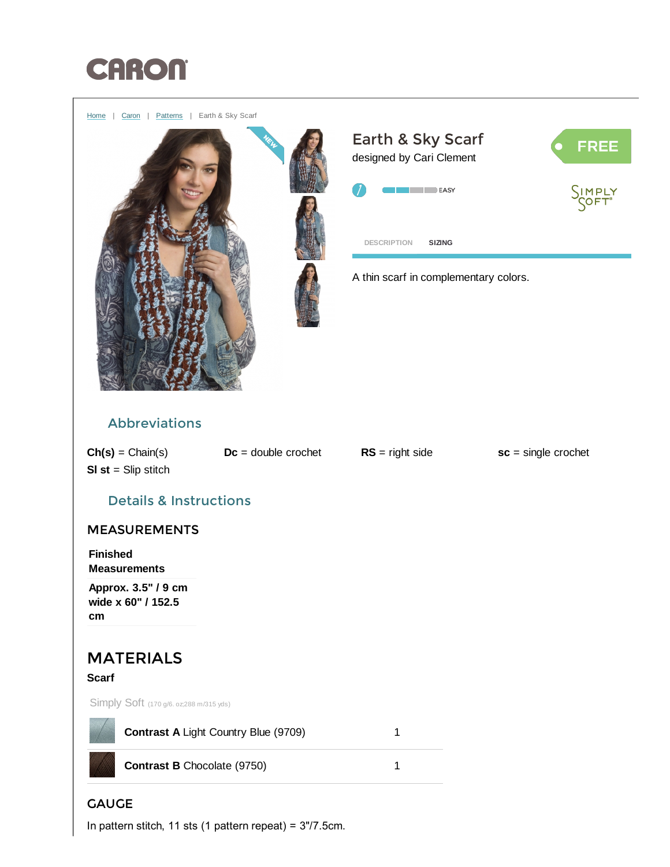

[Home](http://www.yarnspirations.com/) | [Caron](http://www.yarnspirations.com/caron) | [Patterns](http://www.yarnspirations.com/patterns) | Earth & Sky Scarf





<span id="page-0-0"></span>A thin scarf in complementary colors.

## Abbreviations

 $Ch(s) = Chain(s)$   $Dc = double\ cor{c}$   $RS = right\ side$   $sc = single\ cor{c}$  $SI$  st = Slip stitch

## Details & Instructions

## MEASUREMENTS

Finished Measurements

Approx. 3.5" / 9 cm wide x 60" / 152.5 cm

# MATERIALS

### **Scarf**

Simply Soft (170 g/6. oz;288 m/315 yds)



Contrast A Light Country Blue (9709) 1

Contrast B Chocolate (9750) 1

## **GAUGE**

In pattern stitch, 11 sts (1 pattern repeat) = 3"/7.5cm.